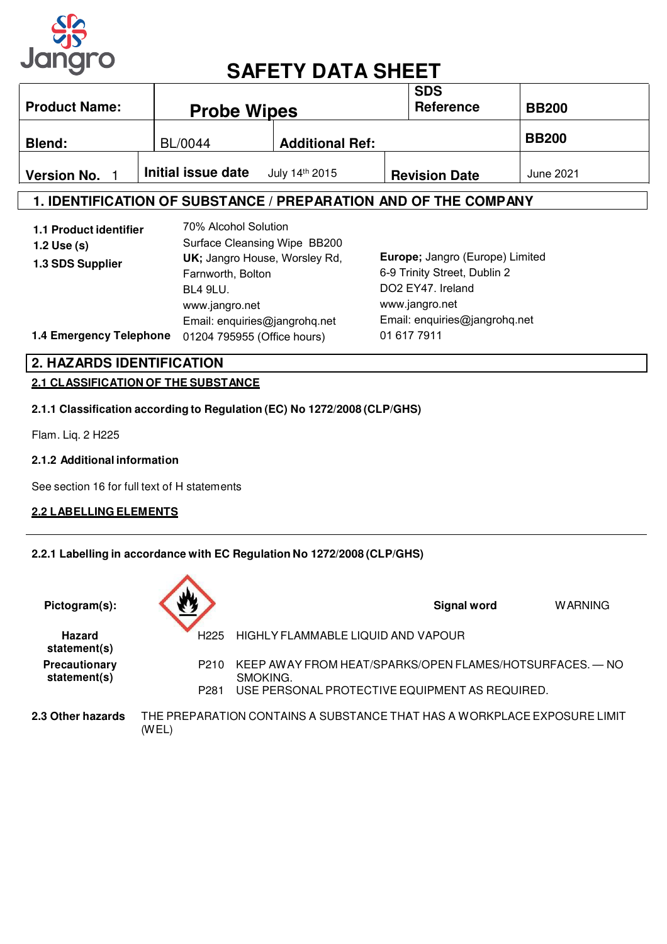

# **SAFETY DATA SHEET**

| <b>Product Name:</b> | <b>Probe Wipes</b> |                        | <b>SDS</b><br><b>Reference</b> | <b>BB200</b> |
|----------------------|--------------------|------------------------|--------------------------------|--------------|
| <b>Blend:</b>        | BL/0044            | <b>Additional Ref:</b> |                                | <b>BB200</b> |
| <b>Version No.</b>   | Initial issue date | July 14th 2015         | <b>Revision Date</b>           | June 2021    |

## **1. IDENTIFICATION OF SUBSTANCE / PREPARATION AND OF THE COMPANY**

| 1.1 Product identifier<br>1.2 Use $(s)$<br>1.3 SDS Supplier | 70% Alcohol Solution<br>Surface Cleansing Wipe BB200<br>UK; Jangro House, Worsley Rd,<br>Farnworth, Bolton<br><b>BL4 9LU.</b><br>www.jangro.net<br>Email: enquiries@jangrohq.net | Europe; Jangro (Europe) Limited<br>6-9 Trinity Street, Dublin 2<br>DO2 EY47. Ireland<br>www.jangro.net<br>Email: enquiries@jangrohq.net |
|-------------------------------------------------------------|----------------------------------------------------------------------------------------------------------------------------------------------------------------------------------|-----------------------------------------------------------------------------------------------------------------------------------------|
| 1.4 Emergency Telephone                                     | 01204 795955 (Office hours)                                                                                                                                                      | 01 617 7911                                                                                                                             |

## **2.1 CLASSIFICATION OF THE SUBSTANCE 2. HAZARDS IDENTIFICATION**

#### **2.1.1 Classification according to Regulation (EC) No 1272/2008 (CLP/GHS)**

Flam. Liq. 2 H225

#### **2.1.2 Additional information**

See section 16 for full text of H statements

#### **2.2 LABELLING ELEMENTS**

#### **2.2.1 Labelling in accordance with EC Regulation No 1272/2008 (CLP/GHS)**

| Pictogram(s):                 |                  | <b>Signal word</b><br><b>WARNING</b>                                     |  |
|-------------------------------|------------------|--------------------------------------------------------------------------|--|
| <b>Hazard</b><br>statement(s) | H <sub>225</sub> | HIGHLY FLAMMABLE LIQUID AND VAPOUR                                       |  |
| Precautionary<br>statement(s) | P <sub>210</sub> | KEEP AWAY FROM HEAT/SPARKS/OPEN FLAMES/HOTSURFACES. — NO<br>SMOKING.     |  |
|                               | P <sub>281</sub> | USE PERSONAL PROTECTIVE EQUIPMENT AS REQUIRED.                           |  |
| 2.3 Other hazards             | (WEL)            | THE PREPARATION CONTAINS A SUBSTANCE THAT HAS A WORKPLACE EXPOSURE LIMIT |  |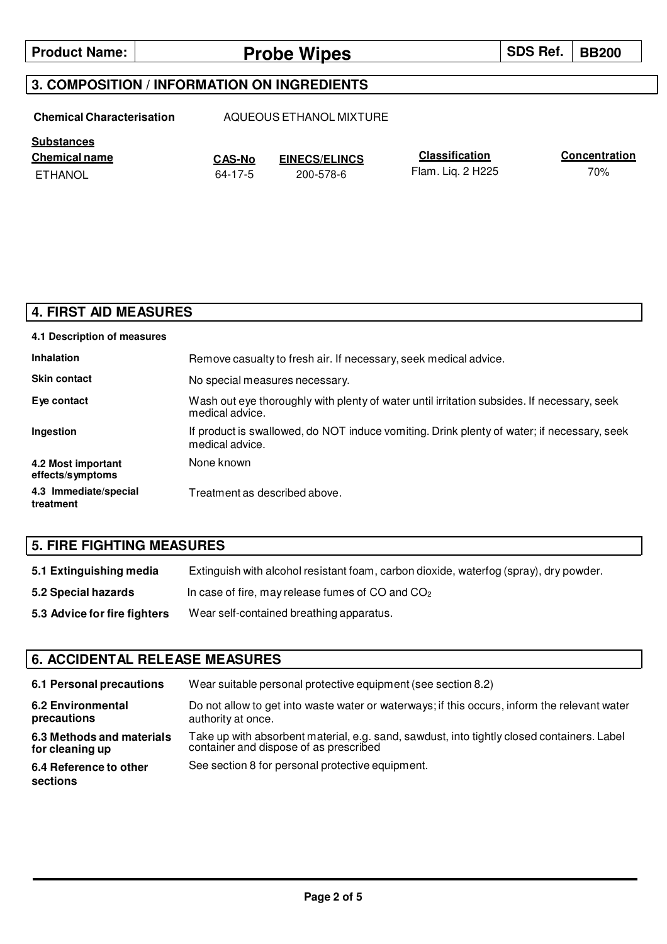## **Product Name: Probe Wipes Probe Wipes SDS Ref. BB200**

### **3. COMPOSITION / INFORMATION ON INGREDIENTS**

**Chemical Characterisation** AQUEOUS ETHANOL MIXTURE

**CAS-No** 64-17-5

**Substances**

**Chemical name Classification EINECS/ELINCS** ETHANOL 200-578-6

Flam. Liq. 2 H225

**Concentration** 70%

| <b>4. FIRST AID MEASURES</b>           |                                                                                                               |  |
|----------------------------------------|---------------------------------------------------------------------------------------------------------------|--|
| 4.1 Description of measures            |                                                                                                               |  |
| <b>Inhalation</b>                      | Remove casualty to fresh air. If necessary, seek medical advice.                                              |  |
| <b>Skin contact</b>                    | No special measures necessary.                                                                                |  |
| Eye contact                            | Wash out eye thoroughly with plenty of water until irritation subsides. If necessary, seek<br>medical advice. |  |
| Ingestion                              | If product is swallowed, do NOT induce vomiting. Drink plenty of water; if necessary, seek<br>medical advice. |  |
| 4.2 Most important<br>effects/symptoms | None known                                                                                                    |  |
| 4.3 Immediate/special<br>treatment     | Treatment as described above.                                                                                 |  |

## **5. FIRE FIGHTING MEASURES**

| 5.1 Extinguishing media      | Extinguish with alcohol resistant foam, carbon dioxide, waterfog (spray), dry powder. |
|------------------------------|---------------------------------------------------------------------------------------|
| 5.2 Special hazards          | In case of fire, may release fumes of $CO$ and $CO2$                                  |
| 5.3 Advice for fire fighters | Wear self-contained breathing apparatus.                                              |

## **6. ACCIDENTAL RELEASE MEASURES**

| 6.1 Personal precautions           | Wear suitable personal protective equipment (see section 8.2)                                |
|------------------------------------|----------------------------------------------------------------------------------------------|
| <b>6.2 Environmental</b>           | Do not allow to get into waste water or waterways; if this occurs, inform the relevant water |
| precautions                        | authority at once.                                                                           |
| 6.3 Methods and materials          | Take up with absorbent material, e.g. sand, sawdust, into tightly closed containers. Label   |
| for cleaning up                    | container and dispose of as prescribed                                                       |
| 6.4 Reference to other<br>sections | See section 8 for personal protective equipment.                                             |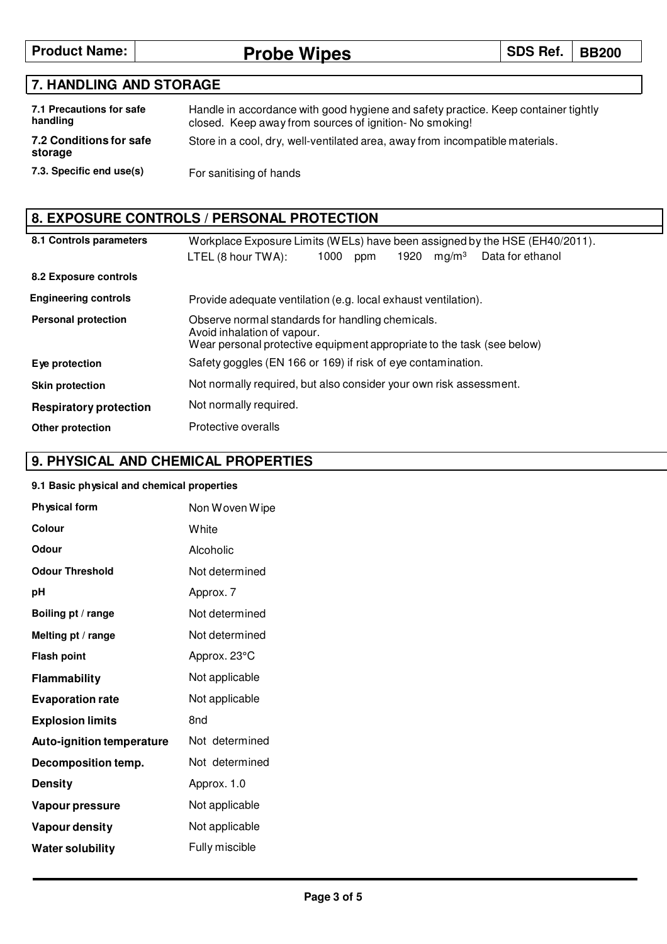**Product Name: Probe Wipes SDS Ref.** BB200

## **7. HANDLING AND STORAGE**

| 7.1 Precautions for safe<br>handling | Handle in accordance with good hygiene and safety practice. Keep container tightly<br>closed. Keep away from sources of ignition-No smoking! |
|--------------------------------------|----------------------------------------------------------------------------------------------------------------------------------------------|
| 7.2 Conditions for safe<br>storage   | Store in a cool, dry, well-ventilated area, away from incompatible materials.                                                                |
| 7.3. Specific end use(s)             | For sanitising of hands                                                                                                                      |

## **8. EXPOSURE CONTROLS / PERSONAL PROTECTION**

| 8.1 Controls parameters       | Workplace Exposure Limits (WELs) have been assigned by the HSE (EH40/2011).                                                                               |  |  |
|-------------------------------|-----------------------------------------------------------------------------------------------------------------------------------------------------------|--|--|
|                               | mg/m <sup>3</sup><br>1000<br>1920<br>Data for ethanol<br>LTEL (8 hour TWA):<br>ppm                                                                        |  |  |
| 8.2 Exposure controls         |                                                                                                                                                           |  |  |
| <b>Engineering controls</b>   | Provide adequate ventilation (e.g. local exhaust ventilation).                                                                                            |  |  |
| <b>Personal protection</b>    | Observe normal standards for handling chemicals.<br>Avoid inhalation of vapour.<br>Wear personal protective equipment appropriate to the task (see below) |  |  |
| Eye protection                | Safety goggles (EN 166 or 169) if risk of eye contamination.                                                                                              |  |  |
| <b>Skin protection</b>        | Not normally required, but also consider your own risk assessment.                                                                                        |  |  |
| <b>Respiratory protection</b> | Not normally required.                                                                                                                                    |  |  |
| Other protection              | Protective overalls                                                                                                                                       |  |  |

## **9. PHYSICAL AND CHEMICAL PROPERTIES**

#### **9.1 Basic physical and chemical properties**

| <b>Physical form</b>             | Non Woven Wipe  |  |
|----------------------------------|-----------------|--|
| Colour                           | White           |  |
| Odour                            | Alcoholic       |  |
| <b>Odour Threshold</b>           | Not determined  |  |
| рH                               | Approx. 7       |  |
| Boiling pt / range               | Not determined  |  |
| Melting pt / range               | Not determined  |  |
| <b>Flash point</b>               | Approx. 23°C    |  |
| Flammability                     | Not applicable  |  |
| <b>Evaporation rate</b>          | Not applicable  |  |
| <b>Explosion limits</b>          | 8 <sub>nd</sub> |  |
| <b>Auto-ignition temperature</b> | Not determined  |  |
| Decomposition temp.              | Not determined  |  |
| <b>Density</b>                   | Approx. 1.0     |  |
| Vapour pressure                  | Not applicable  |  |
| Vapour density                   | Not applicable  |  |
| Water solubility                 | Fully miscible  |  |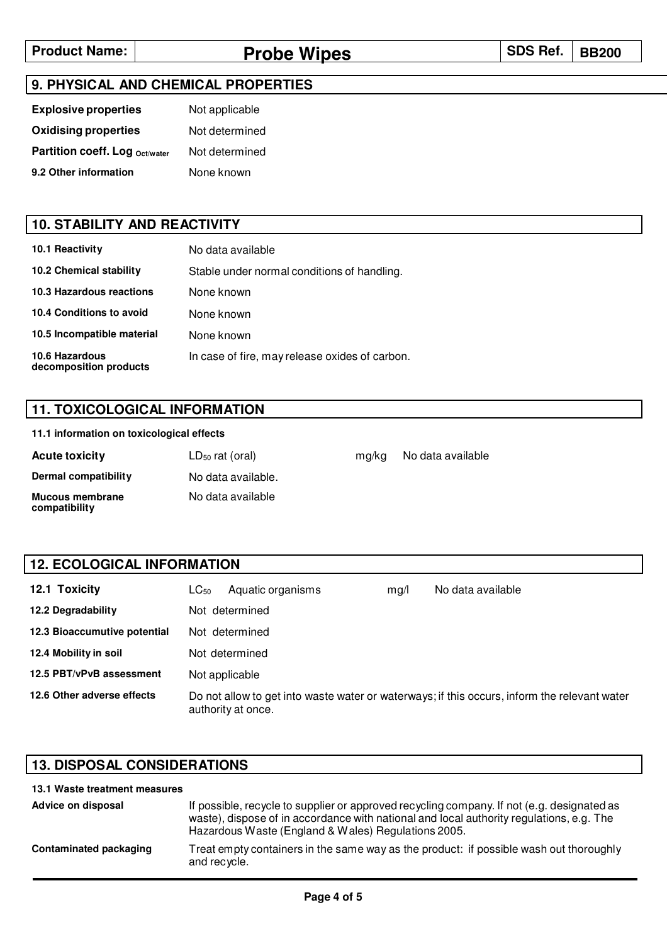## **Product Name: Probe Wipes Probe Wipes SDS Ref.** | BB200

#### **9. PHYSICAL AND CHEMICAL PROPERTIES**

| <b>Explosive properties</b>    | Not applicable |
|--------------------------------|----------------|
| <b>Oxidising properties</b>    | Not determined |
| Partition coeff. Log Oct/water | Not determined |
| 9.2 Other information          | None known     |

#### **10. STABILITY AND REACTIVITY**

| <b>10.1 Reactivity</b>                          | No data available                              |
|-------------------------------------------------|------------------------------------------------|
| <b>10.2 Chemical stability</b>                  | Stable under normal conditions of handling.    |
| <b>10.3 Hazardous reactions</b>                 | None known                                     |
| 10.4 Conditions to avoid                        | None known                                     |
| 10.5 Incompatible material                      | None known                                     |
| <b>10.6 Hazardous</b><br>decomposition products | In case of fire, may release oxides of carbon. |

### **11. TOXICOLOGICAL INFORMATION**

#### **11.1 information on toxicological effects**

| <b>Acute toxicity</b>                   | $LD_{50}$ rat (oral) | ma/ka | No data available |
|-----------------------------------------|----------------------|-------|-------------------|
| Dermal compatibility                    | No data available.   |       |                   |
| <b>Mucous membrane</b><br>compatibility | No data available    |       |                   |

#### **12.1 Toxicity 12.2 Degradability** LC<sub>50</sub> Aquatic organisms Not determined Not determined Not determined Not applicable mg/l No data available **12.3 Bioaccumutive potential 12.4 Mobility in soil 12.5 PBT/vPvB assessment 12.6 Other adverse effects** Do not allow to get into waste water or waterways; if this occurs, inform the relevant water authority at once. **12. ECOLOGICAL INFORMATION**

#### **13. DISPOSAL CONSIDERATIONS**

| 13.1 Waste treatment measures |                                                                                                                                                                                                                                               |
|-------------------------------|-----------------------------------------------------------------------------------------------------------------------------------------------------------------------------------------------------------------------------------------------|
| Advice on disposal            | If possible, recycle to supplier or approved recycling company. If not (e.g. designated as<br>waste), dispose of in accordance with national and local authority regulations, e.g. The<br>Hazardous Waste (England & Wales) Regulations 2005. |
| Contaminated packaging        | Treat empty containers in the same way as the product: if possible wash out thoroughly<br>and recycle.                                                                                                                                        |